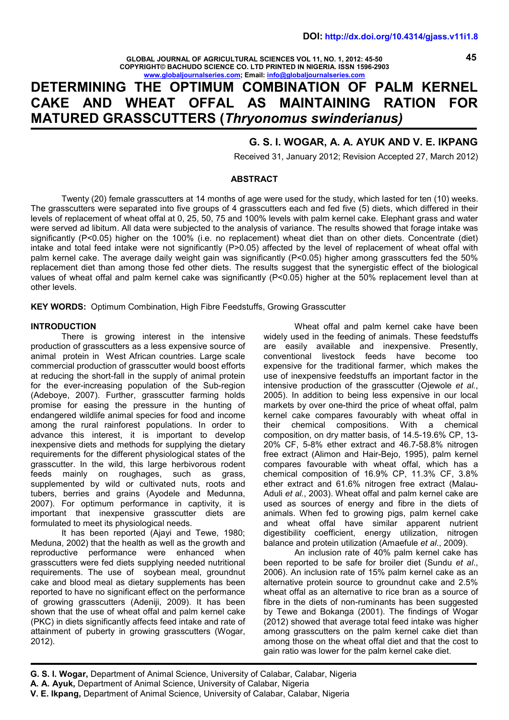**GLOBAL JOURNAL OF AGRICULTURAL SCIENCES VOL 11, NO. 1, 2012: 45-50 COPYRIGHT© BACHUDO SCIENCE CO. LTD PRINTED IN NIGERIA. ISSN 1596-2903 www.globaljournalseries.com; Email: info@globaljournalseries.com**

# **DETERMINING THE OPTIMUM COMBINATION OF PALM KERNEL CAKE AND WHEAT OFFAL AS MAINTAINING RATION FOR MATURED GRASSCUTTERS (***Thryonomus swinderianus)*

# **G. S. I. WOGAR, A. A. AYUK AND V. E. IKPANG**

Received 31, January 2012; Revision Accepted 27, March 2012)

#### **ABSTRACT**

Twenty (20) female grasscutters at 14 months of age were used for the study, which lasted for ten (10) weeks. The grasscutters were separated into five groups of 4 grasscutters each and fed five (5) diets, which differed in their levels of replacement of wheat offal at 0, 25, 50, 75 and 100% levels with palm kernel cake. Elephant grass and water were served ad libitum. All data were subjected to the analysis of variance. The results showed that forage intake was significantly (P<0.05) higher on the 100% (i.e. no replacement) wheat diet than on other diets. Concentrate (diet) intake and total feed intake were not significantly (P>0.05) affected by the level of replacement of wheat offal with palm kernel cake. The average daily weight gain was significantly (P<0.05) higher among grasscutters fed the 50% replacement diet than among those fed other diets. The results suggest that the synergistic effect of the biological values of wheat offal and palm kernel cake was significantly (P<0.05) higher at the 50% replacement level than at other levels.

**KEY WORDS:** Optimum Combination, High Fibre Feedstuffs, Growing Grasscutter

#### **INTRODUCTION**

There is growing interest in the intensive production of grasscutters as a less expensive source of animal protein in West African countries. Large scale commercial production of grasscutter would boost efforts at reducing the short-fall in the supply of animal protein for the ever-increasing population of the Sub-region (Adeboye, 2007). Further, grasscutter farming holds promise for easing the pressure in the hunting of endangered wildlife animal species for food and income kerne kernes<br>among the rural rainforest populations. In order to their among the rural rainforest populations. In order to advance this interest, it is important to develop inexpensive diets and methods for supplying the dietary requirements for the different physiological states of the grasscutter. In the wild, this large herbivorous rodent feeds mainly on roughages, such as grass. feeds mainly on roughages, such as supplemented by wild or cultivated nuts, roots and tubers, berries and grains (Ayodele and Medunna, 2007). For optimum performance in captivity, it is important that inexpensive grasscutter diets are formulated to meet its physiological needs.

It has been reported (Ajayi and Tewe, 1980; Meduna, 2002) that the health as well as the growth and reproductive performance were enhanced when grasscutters were fed diets supplying needed nutritional requirements. The use of soybean meal, groundnut cake and blood meal as dietary supplements has been reported to have no significant effect on the performance of growing grasscutters (Adeniji, 2009). It has been shown that the use of wheat offal and palm kernel cake (PKC) in diets significantly affects feed intake and rate of attainment of puberty in growing grasscutters (Wogar, 2012).

Wheat offal and palm kernel cake have been widely used in the feeding of animals. These feedstuffs are easily available and inexpensive. Presently, conventional livestock feeds have become too expensive for the traditional farmer, which makes the use of inexpensive feedstuffs an important factor in the intensive production of the grasscutter (Ojewole *et al.*, 2005). In addition to being less expensive in our local markets by over one-third the price of wheat offal, palm kernel cake compares favourably with wheat offal in<br>their chemical compositions. With a chemical chemical compositions. With a chemical composition, on dry matter basis, of 14.5-19.6% CP, 13- 20% CF, 5-8% ether extract and 46.7-58.8% nitrogen free extract (Alimon and Hair-Bejo, 1995), palm kernel compares favourable with wheat offal, which has a chemical composition of 16.9% CP, 11.3% CF, 3.8% ether extract and 61.6% nitrogen free extract (Malau- Aduli *et al.*, 2003). Wheat offal and palm kernel cake are used as sources of energy and fibre in the diets of animals. When fed to growing pigs, palm kernel cake and wheat offal have similar apparent nutrient digestibility coefficient, energy utilization, nitrogen balance and protein utilization (Amaefule *et al*., 2009).

An inclusion rate of 40% palm kernel cake has been reported to be safe for broiler diet (Sundu *et al*., 2006). An inclusion rate of 15% palm kernel cake as an alternative protein source to groundnut cake and 2.5% wheat offal as an alternative to rice bran as a source of fibre in the diets of non-ruminants has been suggested by Tewe and Bokanga (2001). The findings of Wogar (2012) showed that average total feed intake was higher among grasscutters on the palm kernel cake diet than among those on the wheat offal diet and that the cost to gain ratio was lower for the palm kernel cake diet.

**G. S. I. Wogar,** Department of Animal Science, University of Calabar, Calabar, Nigeria **A. A. Ayuk,** Department of Animal Science, University of Calabar, Nigeria

**45**

**V. E. Ikpang,** Department of Animal Science, University of Calabar, Calabar, Nigeria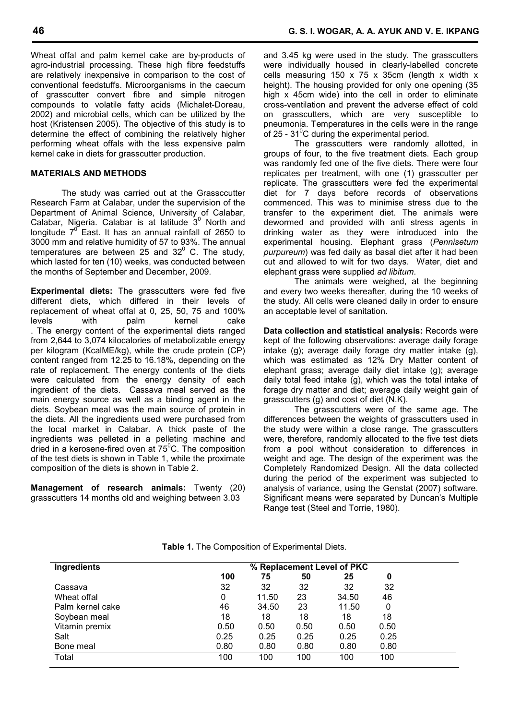Wheat offal and palm kernel cake are by-products of agro-industrial processing. These high fibre feedstuffs are relatively inexpensive in comparison to the cost of conventional feedstuffs. Microorganisms in the caecum of grasscutter convert fibre and simple nitrogen compounds to volatile fatty acids (Michalet-Doreau, 2002) and microbial cells, which can be utilized by the host (Kristensen 2005). The objective of this study is to determine the effect of combining the relatively higher performing wheat offals with the less expensive palm kernel cake in diets for grasscutter production.

# **MATERIALS AND METHODS**

The study was carried out at the Grassccutter Research Farm at Calabar, under the supervision of the Department of Animal Science, University of Calabar, Calabar, Nigeria. Calabar is at latitude  $3^0$  North and dew longitude  $7^\circ$  East. It has an annual rainfall of 2650 to drinl 3000 mm and relative humidity of 57 to 93%. The annual temperatures are between 25 and 32 $^{\circ}$  C. The study, which lasted for ten (10) weeks, was conducted between the months of September and December, 2009.

**Experimental diets:** The grasscutters were fed five different diets, which differed in their levels of replacement of wheat offal at 0, 25, 50, 75 and 100% levels with palm kernel cake . The energy content of the experimental diets ranged from 2,644 to 3,074 kilocalories of metabolizable energy per kilogram (KcalME/kg), while the crude protein (CP) content ranged from 12.25 to 16.18%, depending on the rate of replacement. The energy contents of the diets were calculated from the energy density of each ingredient of the diets. Cassava meal served as the main energy source as well as a binding agent in the diets. Soybean meal was the main source of protein in the diets. All the ingredients used were purchased from the local market in Calabar. A thick paste of the ingredients was pelleted in a pelleting machine and dried in a kerosene-fired oven at  $75^{\circ}$ C. The composition of the test diets is shown in Table 1, while the proximate composition of the diets is shown in Table 2.

**Management of research animals:** Twenty (20) grasscutters 14 months old and weighing between 3.03

and 3.45 kg were used in the study. The grasscutters were individually housed in clearly-labelled concrete cells measuring 150 x 75 x 35cm (length x width x height). The housing provided for only one opening (35 high x 45cm wide) into the cell in order to eliminate cross-ventilation and prevent the adverse effect of cold on grasscutters, which are very susceptible to pneumonia. Temperatures in the cells were in the range of 25 -  $31^{\circ}$ C during the experimental period.

The grasscutters were randomly allotted, in groups of four, to the five treatment diets. Each group was randomly fed one of the five diets. There were four replicates per treatment, with one (1) grasscutter per replicate. The grasscutters were fed the experimental diet for 7 days before records of observations commenced. This was to minimise stress due to the transfer to the experiment diet. The animals were dewormed and provided with anti stress agents in drinking water as they were introduced into the experimental housing. Elephant grass (*Pennisetum purpureum*) was fed daily as basal diet after it had been cut and allowed to wilt for two days. Water, diet and elephant grass were supplied *ad libitum*.

The animals were weighed, at the beginning and every two weeks thereafter, during the 10 weeks of the study. All cells were cleaned daily in order to ensure an acceptable level of sanitation.

**Data collection and statistical analysis:** Records were kept of the following observations: average daily forage intake (g); average daily forage dry matter intake (g), which was estimated as 12% Dry Matter content of elephant grass; average daily diet intake (g); average daily total feed intake (g), which was the total intake of forage dry matter and diet; average daily weight gain of grasscutters (g) and cost of diet (N.K).

The grasscutters were of the same age. The differences between the weights of grasscutters used in the study were within a close range. The grasscutters were, therefore, randomly allocated to the five test diets from a pool without consideration to differences in weight and age. The design of the experiment was the Completely Randomized Design. All the data collected during the period of the experiment was subjected to analysis of variance, using the Genstat (2007) software. Significant means were separated by Duncan's Multiple Range test (Steel and Torrie, 1980).

| Ingredients      | % Replacement Level of PKC |       |      |       |      |  |
|------------------|----------------------------|-------|------|-------|------|--|
|                  | 100                        | 75    | 50   | 25    | 0    |  |
| Cassava          | 32                         | 32    | 32   | 32    | 32   |  |
| Wheat offal      | 0                          | 11.50 | 23   | 34.50 | 46   |  |
| Palm kernel cake | 46                         | 34.50 | 23   | 11.50 | 0    |  |
| Soybean meal     | 18                         | 18    | 18   | 18    | 18   |  |
| Vitamin premix   | 0.50                       | 0.50  | 0.50 | 0.50  | 0.50 |  |
| Salt             | 0.25                       | 0.25  | 0.25 | 0.25  | 0.25 |  |
| Bone meal        | 0.80                       | 0.80  | 0.80 | 0.80  | 0.80 |  |
| Total            | 100                        | 100   | 100  | 100   | 100  |  |

**Table 1.** The Composition of Experimental Diets.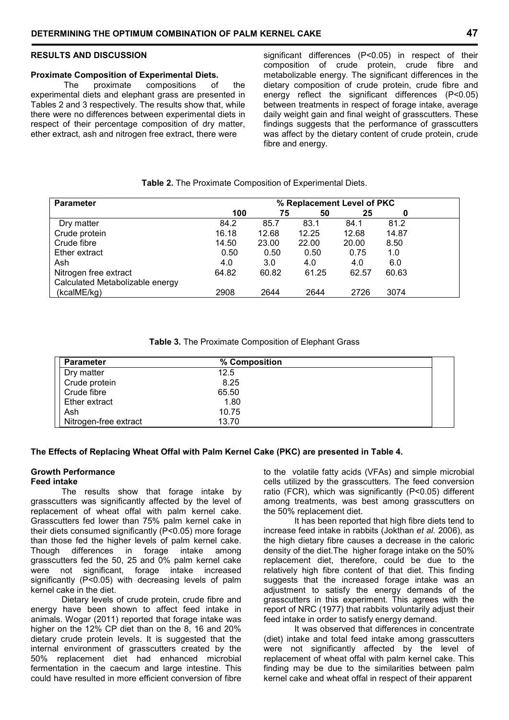#### **RESULTS AND DISCUSSION**

# **Proximate Composition of Experimental Diets.**<br>The proximate compositions of

 The proximate compositions of the experimental diets and elephant grass are presented in Tables 2 and 3 respectively. The results show that, while there were no differences between experimental diets in respect of their percentage composition of dry matter, ether extract, ash and nitrogen free extract, there were

significant differences (P<0.05) in respect of their composition of crude protein, crude fibre and metabolizable energy. The significant differences in the dietary composition of crude protein, crude fibre and energy reflect the significant differences (P<0.05) between treatments in respect of forage intake, average daily weight gain and final weight of grasscutters. These findings suggests that the performance of grasscutters was affect by the dietary content of crude protein, crude fibre and energy.

# **Table 2.** The Proximate Composition of Experimental Diets.

| <b>Parameter</b>                | % Replacement Level of PKC |       |       |       |       |  |  |
|---------------------------------|----------------------------|-------|-------|-------|-------|--|--|
|                                 | 100                        | 75    | 50    | 25    | 0     |  |  |
| Dry matter                      | 84.2                       | 85.7  | 83.1  | 84.1  | 81.2  |  |  |
| Crude protein                   | 16.18                      | 12.68 | 12.25 | 12.68 | 14.87 |  |  |
| Crude fibre                     | 14.50                      | 23.00 | 22.00 | 20.00 | 8.50  |  |  |
| Ether extract                   | 0.50                       | 0.50  | 0.50  | 0.75  | 1.0   |  |  |
| Ash                             | 4.0                        | 3.0   | 4.0   | 4.0   | 6.0   |  |  |
| Nitrogen free extract           | 64.82                      | 60.82 | 61.25 | 62.57 | 60.63 |  |  |
| Calculated Metabolizable energy |                            |       |       |       |       |  |  |
| (kcalME/kg)                     | 2908                       | 2644  | 2644  | 2726  | 3074  |  |  |

|  | Table 3. The Proximate Composition of Elephant Grass |
|--|------------------------------------------------------|
|--|------------------------------------------------------|

| <b>Parameter</b>      | % Composition |  |
|-----------------------|---------------|--|
| Dry matter            | 12.5          |  |
| Crude protein         | 8.25          |  |
| Crude fibre           | 65.50         |  |
| Ether extract         | 1.80          |  |
| Ash                   | 10.75         |  |
| Nitrogen-free extract | 13.70         |  |

# **The Effects of Replacing Wheat Offal with Palm Kernel Cake (PKC) are presented in Table 4.**

#### **Growth Performance Feed intake**

The results show that forage intake by grasscutters was significantly affected by the level of replacement of wheat offal with palm kernel cake. Grasscutters fed lower than 75% palm kernel cake in their diets consumed significantly (P<0.05) more forage than those fed the higher levels of palm kernel cake. Though differences in forage intake among grasscutters fed the 50, 25 and 0% palm kernel cake were not significant, forage intake increased significantly (P<0.05) with decreasing levels of palm kernel cake in the diet.

Dietary levels of crude protein, crude fibre and energy have been shown to affect feed intake in animals. Wogar (2011) reported that forage intake was higher on the 12% CP diet than on the 8, 16 and 20% dietary crude protein levels. It is suggested that the internal environment of grasscutters created by the 50% replacement diet had enhanced microbial fermentation in the caecum and large intestine. This could have resulted in more efficient conversion of fibre

to the volatile fatty acids (VFAs) and simple microbial cells utilized by the grasscutters. The feed conversion ratio (FCR), which was significantly (P<0.05) different among treatments, was best among grasscutters on the 50% replacement diet.

It has been reported that high fibre diets tend to increase feed intake in rabbits (Jokthan *et al.* 2006), as the high dietary fibre causes a decrease in the caloric density of the diet.The higher forage intake on the 50% replacement diet, therefore, could be due to the relatively high fibre content of that diet. This finding suggests that the increased forage intake was an adjustment to satisfy the energy demands of the grasscutters in this experiment. This agrees with the report of NRC (1977) that rabbits voluntarily adjust their feed intake in order to satisfy energy demand.

It was observed that differences in concentrate (diet) intake and total feed intake among grasscutters were not significantly affected by the level of replacement of wheat offal with palm kernel cake. This finding may be due to the similarities between palm kernel cake and wheat offal in respect of their apparent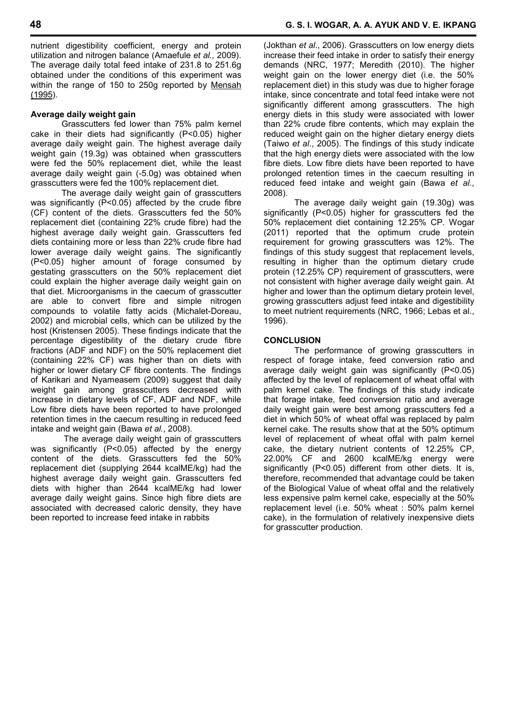nutrient digestibility coefficient, energy and protein utilization and nitrogen balance (Amaefule *et al.,* 2009). The average daily total feed intake of 231.8 to 251.6g obtained under the conditions of this experiment was within the range of 150 to 250g reported by Mensah (1995).

# **Average daily weight gain**

Grasscutters fed lower than 75% palm kernel cake in their diets had significantly (P<0.05) higher average daily weight gain. The highest average daily weight gain (19.3g) was obtained when grasscutters were fed the 50% replacement diet, while the least average daily weight gain (-5.0g) was obtained when grasscutters were fed the 100% replacement diet.

The average daily weight gain of grasscutters was significantly (P<0.05) affected by the crude fibre (CF) content of the diets. Grasscutters fed the 50% replacement diet (containing 22% crude fibre) had the highest average daily weight gain. Grasscutters fed diets containing more or less than 22% crude fibre had lower average daily weight gains. The significantly (P<0.05) higher amount of forage consumed by gestating grasscutters on the 50% replacement diet could explain the higher average daily weight gain on that diet. Microorganisms in the caecum of grasscutter are able to convert fibre and simple nitrogen compounds to volatile fatty acids (Michalet-Doreau, 2002) and microbial cells, which can be utilized by the host (Kristensen 2005). These findings indicate that the percentage digestibility of the dietary crude fibre fractions (ADF and NDF) on the 50% replacement diet (containing 22% CF) was higher than on diets with higher or lower dietary CF fibre contents. The findings of Karikari and Nyameasem (2009) suggest that daily weight gain among grasscutters decreased with increase in dietary levels of CF, ADF and NDF, while Low fibre diets have been reported to have prolonged retention times in the caecum resulting in reduced feed intake and weight gain (Bawa *et al.*, 2008).

 The average daily weight gain of grasscutters was significantly (P<0.05) affected by the energy content of the diets. Grasscutters fed the 50% replacement diet (supplying 2644 kcalME/kg) had the highest average daily weight gain. Grasscutters fed diets with higher than 2644 kcalME/kg had lower average daily weight gains. Since high fibre diets are associated with decreased caloric density, they have been reported to increase feed intake in rabbits

(Jokthan *et al*., 2006). Grasscutters on low energy diets increase their feed intake in order to satisfy their energy demands (NRC, 1977; Meredith (2010). The higher weight gain on the lower energy diet (i.e. the 50% replacement diet) in this study was due to higher forage intake, since concentrate and total feed intake were not significantly different among grasscutters. The high energy diets in this study were associated with lower than 22% crude fibre contents, which may explain the reduced weight gain on the higher dietary energy diets (Taiwo *et al*., 2005). The findings of this study indicate that the high energy diets were associated with the low fibre diets. Low fibre diets have been reported to have prolonged retention times in the caecum resulting in reduced feed intake and weight gain (Bawa *et al.*, 2008).

The average daily weight gain (19.30g) was significantly (P<0.05) higher for grasscutters fed the 50% replacement diet containing 12.25% CP. Wogar (2011) reported that the optimum crude protein requirement for growing grasscutters was 12%. The findings of this study suggest that replacement levels, resulting in higher than the optimum dietary crude protein (12.25% CP) requirement of grasscutters, were not consistent with higher average daily weight gain. At higher and lower than the optimum dietary protein level, growing grasscutters adjust feed intake and digestibility to meet nutrient requirements (NRC, 1966; Lebas et al., 1996).

#### **CONCLUSION**

The performance of growing grasscutters in respect of forage intake, feed conversion ratio and average daily weight gain was significantly (P<0.05) affected by the level of replacement of wheat offal with palm kernel cake. The findings of this study indicate that forage intake, feed conversion ratio and average daily weight gain were best among grasscutters fed a diet in which 50% of wheat offal was replaced by palm kernel cake. The results show that at the 50% optimum level of replacement of wheat offal with palm kernel cake, the dietary nutrient contents of 12.25% CP, 22.00% CF and 2600 kcalME/kg energy were significantly (P<0.05) different from other diets. It is, therefore, recommended that advantage could be taken of the Biological Value of wheat offal and the relatively less expensive palm kernel cake, especially at the 50% replacement level (i.e. 50% wheat : 50% palm kernel cake), in the formulation of relatively inexpensive diets for grasscutter production.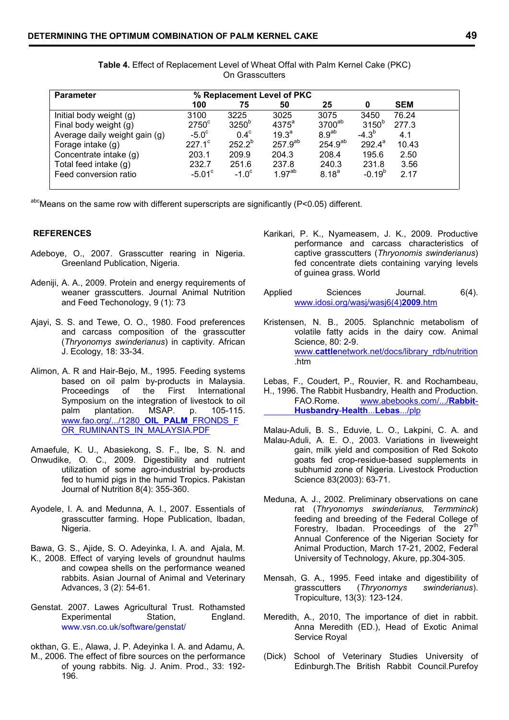| <b>Parameter</b>              |                 |                   | % Replacement Level of PKC |                    |                   |            |
|-------------------------------|-----------------|-------------------|----------------------------|--------------------|-------------------|------------|
|                               | 100             | 75                | 50                         | 25                 | 0                 | <b>SEM</b> |
| Initial body weight (g)       | 3100            | 3225              | 3025                       | 3075               | 3450              | 76.24      |
| Final body weight (g)         | $2750^{\circ}$  | 3250 <sup>b</sup> | $4375^a$                   | 3700 <sup>ab</sup> | 3150 <sup>b</sup> | 277.3      |
| Average daily weight gain (g) | $-5.0^\circ$    | $0.4^\circ$       | $19.3^{a}$                 | 8.9 <sup>ab</sup>  | $-4.3^{b}$        | 4.1        |
| Forage intake (g)             | $227.1^{\circ}$ | $252.2^{b}$       | $257.9^{ab}$               | $254.9^{ab}$       | $292.4^a$         | 10.43      |
| Concentrate intake (g)        | 203.1           | 209.9             | 204.3                      | 208.4              | 195.6             | 2.50       |
| Total feed intake (g)         | 232.7           | 251.6             | 237.8                      | 240.3              | 231.8             | 3.56       |
| Feed conversion ratio         | $-5.01^{\circ}$ | $-1.0^{\circ}$    | 1.97 <sup>ab</sup>         | $8.18^{a}$         | $-0.19^{b}$       | 2.17       |

**Table 4.** Effect of Replacement Level of Wheat Offal with Palm Kernel Cake (PKC) On Grasscutters

 $a$ <sup>hc</sup>Means on the same row with different superscripts are significantly (P<0.05) different.

# **REFERENCES**

- Adeboye, O., 2007. Grasscutter rearing in Nigeria. Greenland Publication, Nigeria.
- Adeniji, A. A., 2009. Protein and energy requirements of weaner grasscutters. Journal Animal Nutrition Applied and Feed Techonology, 9 (1): 73
- Ajayi, S. S. and Tewe, O. O., 1980. Food preferences and carcass composition of the grasscutter (*Thryonomys swinderianus*) in captivity. African J. Ecology, 18: 33-34.
- Alimon, A. R and Hair-Bejo, M., 1995. Feeding systems based on oil palm by-products in Malaysia. Proceedings of the First International Symposium on the integration of livestock to oil<br>palm plantation. MSAP. p. 105-115. palm plantation. MSAP. p. 105-115. www.fao.org/.../1280\_**OIL**\_**PALM**\_FRONDS\_F OR\_RUMINANTS\_IN\_MALAYSIA.PDF
- Amaefule, K. U., Abasiekong, S. F., Ibe, S. N. and Onwudike, O. C., 2009. Digestibility and nutrient utilization of some agro-industrial by-products fed to humid pigs in the humid Tropics. Pakistan Journal of Nutrition 8(4): 355-360.
- Ayodele, I. A. and Medunna, A. I., 2007. Essentials of grasscutter farming. Hope Publication, Ibadan, Nigeria.
- Bawa, G. S., Ajide, S. O. Adeyinka, I. A. and Ajala, M. K., 2008. Effect of varying levels of groundnut haulms and cowpea shells on the performance weaned rabbits. Asian Journal of Animal and Veterinary Advances, 3 (2): 54-61.
- Genstat. 2007. Lawes Agricultural Trust. Rothamsted Experimental Station www.vsn.co.uk/software/genstat/
- okthan, G. E., Alawa, J. P. Adeyinka I. A. and Adamu, A. M., 2006. The effect of fibre sources on the performance of young rabbits. Nig. J. Anim. Prod., 33: 192- 196.
- Karikari, P. K., Nyameasem, J. K., 2009. Productive performance and carcass characteristics of captive grasscutters (*Thryonomis swinderianus*) fed concentrate diets containing varying levels of guinea grass. World
- Sciences Journal. 6(4). www.idosi.org/wasj/wasj6(4)**2009**.htm
- Kristensen, N. B., 2005. Splanchnic metabolism of volatile fatty acids in the dairy cow. Animal Science, 80: 2-9. www.cattlenetwork.net/docs/library\_rdb/nutrition .htm
- Lebas, F., Coudert, P., Rouvier, R. and Rochambeau, H., 1996. The Rabbit Husbandry, Health and Production. FAO.Rome. www.abebooks.com/.../**Rabbit**- **Husbandry**-**Health**...**Lebas**.../plp
- Malau-Aduli, B. S., Eduvie, L. O., Lakpini, C. A. and Malau-Aduli, A. E. O., 2003. Variations in liveweight gain, milk yield and composition of Red Sokoto goats fed crop-residue-based supplements in subhumid zone of Nigeria. Livestock Production Science 83(2003): 63-71.
- Meduna, A. J., 2002. Preliminary observations on cane rat (*Thryonomys swinderianus, Termminck*) feeding and breeding of the Federal College of Forestry, Ibadan. Proceedings of the  $27<sup>th</sup>$ Annual Conference of the Nigerian Society for Animal Production, March 17-21, 2002, Federal University of Technology, Akure, pp.304-305.
- Mensah, G. A., 1995. Feed intake and digestibility of grasscutters (*Thryonomys swinderianus*). Tropiculture, 13(3): 123-124.
- Meredith, A., 2010, The importance of diet in rabbit. Anna Meredith (ED.), Head of Exotic Animal Service Royal
- (Dick) School of Veterinary Studies University of Edinburgh.The British Rabbit Council.Purefoy